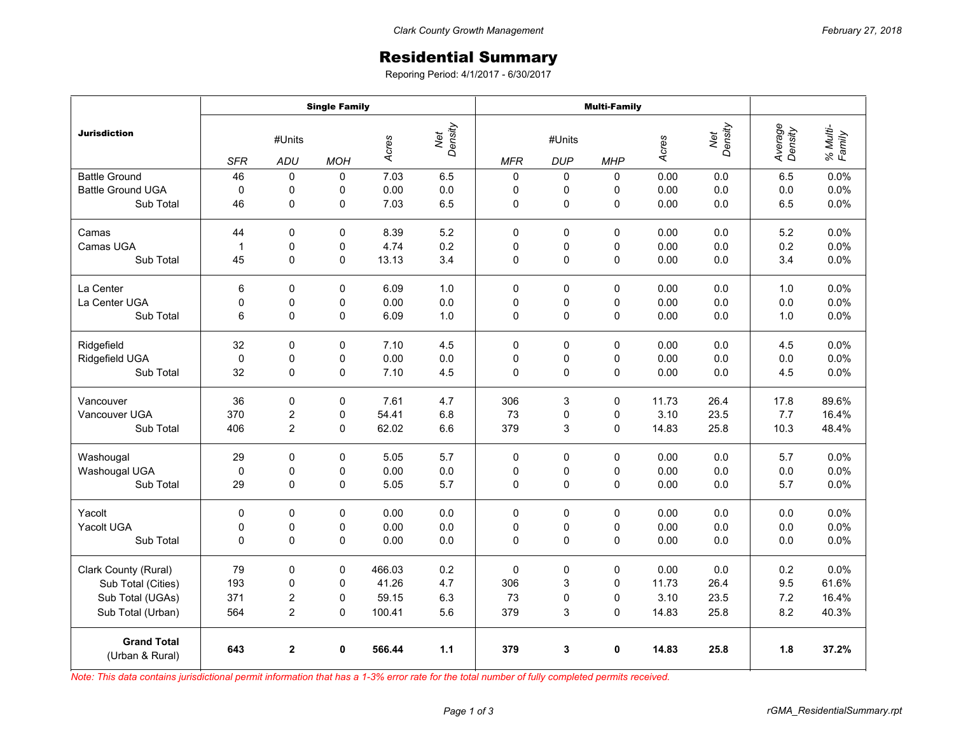## Residential Summary

Reporing Period: 4/1/2017 - 6/30/2017

|                                       | <b>Single Family</b> |                |             |                         |     | <b>Multi-Family</b> |             |             |       |                |                    |                    |
|---------------------------------------|----------------------|----------------|-------------|-------------------------|-----|---------------------|-------------|-------------|-------|----------------|--------------------|--------------------|
| <b>Jurisdiction</b>                   | #Units               |                |             | Net<br>Density<br>Acres |     | #Units              |             |             | Acres | Net<br>Density | Average<br>Density | % Multi-<br>Family |
|                                       | <b>SFR</b>           | ADU            | <b>MOH</b>  |                         |     | <b>MFR</b>          | <b>DUP</b>  | <b>MHP</b>  |       |                |                    |                    |
| <b>Battle Ground</b>                  | 46                   | 0              | $\mathbf 0$ | 7.03                    | 6.5 | $\mathbf 0$         | 0           | $\Omega$    | 0.00  | 0.0            | 6.5                | 0.0%               |
| <b>Battle Ground UGA</b>              | $\mathbf 0$          | 0              | 0           | 0.00                    | 0.0 | 0                   | 0           | 0           | 0.00  | 0.0            | 0.0                | 0.0%               |
| Sub Total                             | 46                   | 0              | 0           | 7.03                    | 6.5 | 0                   | 0           | 0           | 0.00  | 0.0            | 6.5                | 0.0%               |
| Camas                                 | 44                   | $\mathbf 0$    | 0           | 8.39                    | 5.2 | 0                   | 0           | 0           | 0.00  | 0.0            | 5.2                | 0.0%               |
| Camas UGA                             | $\mathbf{1}$         | 0              | 0           | 4.74                    | 0.2 | 0                   | 0           | 0           | 0.00  | 0.0            | 0.2                | 0.0%               |
| Sub Total                             | 45                   | 0              | $\Omega$    | 13.13                   | 3.4 | 0                   | 0           | 0           | 0.00  | 0.0            | 3.4                | 0.0%               |
| La Center                             | 6                    | $\mathbf 0$    | $\mathbf 0$ | 6.09                    | 1.0 | $\mathbf 0$         | $\mathbf 0$ | 0           | 0.00  | 0.0            | 1.0                | 0.0%               |
| La Center UGA                         | 0                    | 0              | 0           | 0.00                    | 0.0 | 0                   | 0           | 0           | 0.00  | 0.0            | 0.0                | 0.0%               |
| Sub Total                             | 6                    | 0              | $\mathbf 0$ | 6.09                    | 1.0 | 0                   | 0           | $\mathbf 0$ | 0.00  | 0.0            | 1.0                | 0.0%               |
| Ridgefield                            | 32                   | 0              | 0           | 7.10                    | 4.5 | 0                   | 0           | 0           | 0.00  | 0.0            | 4.5                | 0.0%               |
| Ridgefield UGA                        | $\mathbf 0$          | 0              | 0           | 0.00                    | 0.0 | 0                   | 0           | 0           | 0.00  | 0.0            | 0.0                | 0.0%               |
| Sub Total                             | 32                   | $\pmb{0}$      | 0           | 7.10                    | 4.5 | 0                   | 0           | 0           | 0.00  | 0.0            | 4.5                | 0.0%               |
| Vancouver                             | 36                   | $\mathbf 0$    | $\Omega$    | 7.61                    | 4.7 | 306                 | 3           | $\Omega$    | 11.73 | 26.4           | 17.8               | 89.6%              |
| Vancouver UGA                         | 370                  | 2              | 0           | 54.41                   | 6.8 | 73                  | 0           | 0           | 3.10  | 23.5           | 7.7                | 16.4%              |
| Sub Total                             | 406                  | $\overline{2}$ | $\mathbf 0$ | 62.02                   | 6.6 | 379                 | 3           | $\Omega$    | 14.83 | 25.8           | 10.3               | 48.4%              |
| Washougal                             | 29                   | 0              | 0           | 5.05                    | 5.7 | 0                   | 0           | 0           | 0.00  | 0.0            | 5.7                | 0.0%               |
| Washougal UGA                         | $\mathbf 0$          | $\pmb{0}$      | $\mathsf 0$ | 0.00                    | 0.0 | 0                   | 0           | 0           | 0.00  | 0.0            | 0.0                | 0.0%               |
| Sub Total                             | 29                   | 0              | 0           | 5.05                    | 5.7 | 0                   | 0           | 0           | 0.00  | 0.0            | 5.7                | 0.0%               |
| Yacolt                                | 0                    | 0              | 0           | 0.00                    | 0.0 | 0                   | 0           | $\Omega$    | 0.00  | 0.0            | 0.0                | 0.0%               |
| <b>Yacolt UGA</b>                     | 0                    | 0              | 0           | 0.00                    | 0.0 | 0                   | 0           | 0           | 0.00  | 0.0            | 0.0                | 0.0%               |
| Sub Total                             | $\mathbf 0$          | $\mathbf 0$    | 0           | 0.00                    | 0.0 | $\Omega$            | 0           | 0           | 0.00  | 0.0            | 0.0                | 0.0%               |
| Clark County (Rural)                  | 79                   | $\pmb{0}$      | 0           | 466.03                  | 0.2 | $\mathbf 0$         | 0           | 0           | 0.00  | 0.0            | 0.2                | 0.0%               |
| Sub Total (Cities)                    | 193                  | 0              | 0           | 41.26                   | 4.7 | 306                 | 3           | $\Omega$    | 11.73 | 26.4           | 9.5                | 61.6%              |
| Sub Total (UGAs)                      | 371                  | 2              | 0           | 59.15                   | 6.3 | 73                  | 0           | 0           | 3.10  | 23.5           | 7.2                | 16.4%              |
| Sub Total (Urban)                     | 564                  | $\overline{c}$ | 0           | 100.41                  | 5.6 | 379                 | 3           | $\Omega$    | 14.83 | 25.8           | 8.2                | 40.3%              |
| <b>Grand Total</b><br>(Urban & Rural) | 643                  | $\mathbf{2}$   | 0           | 566.44                  | 1.1 | 379                 | 3           | $\mathbf 0$ | 14.83 | 25.8           | 1.8                | 37.2%              |

*Note: This data contains jurisdictional permit information that has a 1-3% error rate for the total number of fully completed permits received.*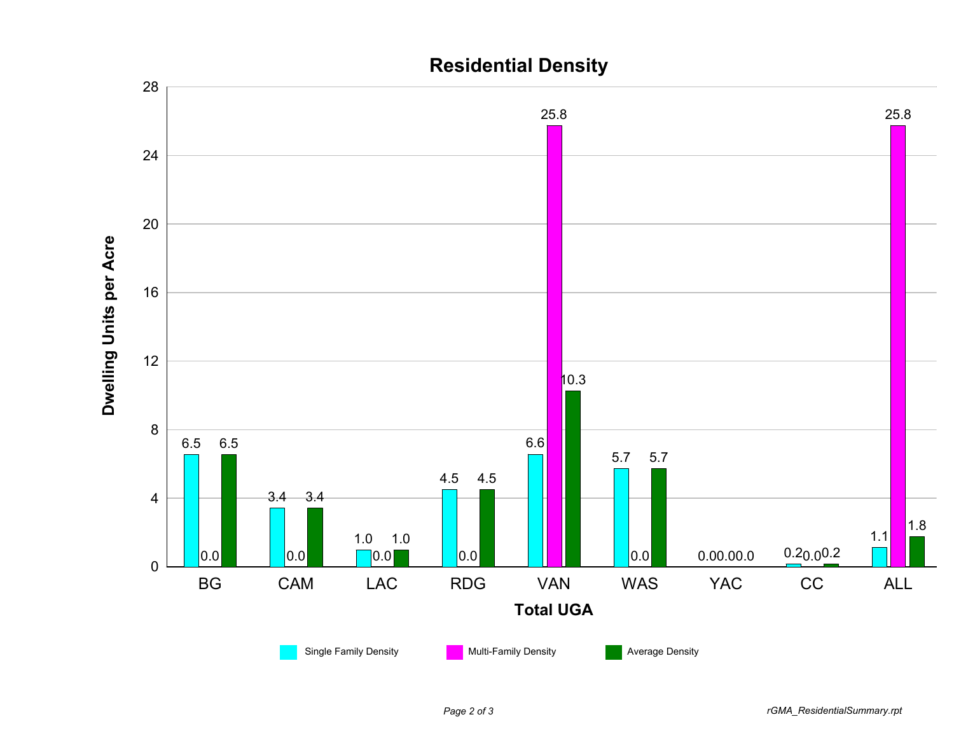

## **Residential Density**